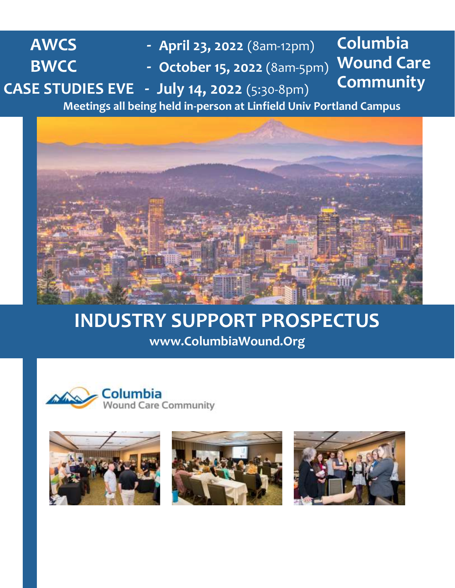**AWCS - April 23, 2022** (8am-12pm) **BWCC - October 15, 2022** (8am-5pm) **CASE STUDIES EVE - July 14, 2022** (5:30-8pm) **Meetings all being held in-person at Linfield Univ Portland Campus Columbia Wound Care Community**



# **INDUSTRY SUPPORT PROSPECTUS www.ColumbiaWound.Org**







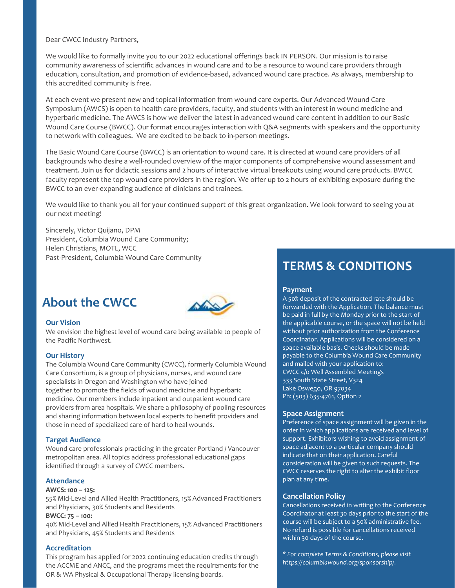Dear CWCC Industry Partners,

We would like to formally invite you to our 2022 educational offerings back IN PERSON. Our mission is to raise community awareness of scientific advances in wound care and to be a resource to wound care providers through education, consultation, and promotion of evidence-based, advanced wound care practice. As always, membership to this accredited community is free.

At each event we present new and topical information from wound care experts. Our Advanced Wound Care Symposium (AWCS) is open to health care providers, faculty, and students with an interest in wound medicine and hyperbaric medicine. The AWCS is how we deliver the latest in advanced wound care content in addition to our Basic Wound Care Course (BWCC). Our format encourages interaction with Q&A segments with speakers and the opportunity to network with colleagues. We are excited to be back to in-person meetings.

The Basic Wound Care Course (BWCC) is an orientation to wound care. It is directed at wound care providers of all backgrounds who desire a well-rounded overview of the major components of comprehensive wound assessment and treatment. Join us for didactic sessions and 2 hours of interactive virtual breakouts using wound care products. BWCC faculty represent the top wound care providers in the region. We offer up to 2 hours of exhibiting exposure during the BWCC to an ever-expanding audience of clinicians and trainees.

We would like to thank you all for your continued support of this great organization. We look forward to seeing you at our next meeting!

Sincerely, Victor Quijano, DPM President, Columbia Wound Care Community; Helen Christians, MOTL, WCC Past-President, Columbia Wound Care Community

# **About the CWCC**



#### **Our Vision**

We envision the highest level of wound care being available to people of the Pacific Northwest.

#### **Our History**

The Columbia Wound Care Community (CWCC), formerly Columbia Wound Care Consortium, is a group of physicians, nurses, and wound care specialists in Oregon and Washington who have joined together to promote the fields of wound medicine and hyperbaric medicine. Our members include inpatient and outpatient wound care providers from area hospitals. We share a philosophy of pooling resources and sharing information between local experts to benefit providers and those in need of specialized care of hard to heal wounds.

#### **Target Audience**

Wound care professionals practicing in the greater Portland / Vancouver metropolitan area. All topics address professional educational gaps identified through a survey of CWCC members.

#### **Attendance**

#### **AWCS: 100 – 125:**

55% Mid-Level and Allied Health Practitioners, 15% Advanced Practitioners and Physicians, 30% Students and Residents

#### **BWCC: 75 – 100:**

40% Mid-Level and Allied Health Practitioners, 15% Advanced Practitioners and Physicians, 45% Students and Residents

#### **Accreditation**

This program has applied for 2022 continuing education credits through the ACCME and ANCC, and the programs meet the requirements for the OR & WA Physical & Occupational Therapy licensing boards.

# **TERMS & CONDITIONS**

## **Payment**

A 50% deposit of the contracted rate should be forwarded with the Application. The balance must be paid in full by the Monday prior to the start of the applicable course, or the space will not be held without prior authorization from the Conference Coordinator. Applications will be considered on a space available basis. Checks should be made payable to the Columbia Wound Care Community and mailed with your application to: CWCC c/o Well Assembled Meetings 333 South State Street, V324 Lake Oswego, OR 97034 Ph: (503) 635-4761, Option 2

#### **Space Assignment**

Preference of space assignment will be given in the order in which applications are received and level of support. Exhibitors wishing to avoid assignment of space adjacent to a particular company should indicate that on their application. Careful consideration will be given to such requests. The CWCC reserves the right to alter the exhibit floor plan at any time.

#### **Cancellation Policy**

Cancellations received in writing to the Conference Coordinator at least 30 days prior to the start of the course will be subject to a 50% administrative fee. No refund is possible for cancellations received within 30 days of the course.

*\* For complete Terms & Conditions, please visit [https://columbiawound.org/sponsorship/.](https://columbiawound.org/sponsorship/)*